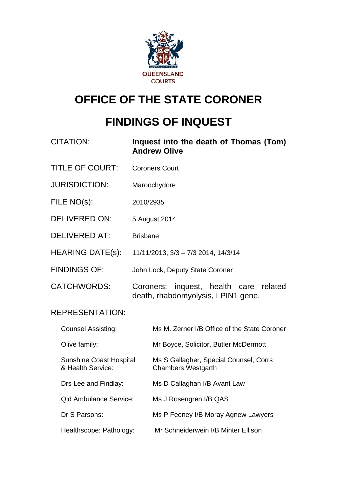

# **OFFICE OF THE STATE CORONER**

# **FINDINGS OF INQUEST**

| <b>CITATION:</b>                                    |                                     | Inquest into the death of Thomas (Tom)<br><b>Andrew Olive</b>                |
|-----------------------------------------------------|-------------------------------------|------------------------------------------------------------------------------|
| <b>TITLE OF COURT:</b>                              | <b>Coroners Court</b>               |                                                                              |
| <b>JURISDICTION:</b>                                |                                     | Maroochydore                                                                 |
| FILE NO(s):                                         | 2010/2935                           |                                                                              |
| <b>DELIVERED ON:</b>                                | 5 August 2014                       |                                                                              |
| <b>DELIVERED AT:</b>                                | <b>Brisbane</b>                     |                                                                              |
| <b>HEARING DATE(s):</b>                             | 11/11/2013, 3/3 - 7/3 2014, 14/3/14 |                                                                              |
| <b>FINDINGS OF:</b>                                 | John Lock, Deputy State Coroner     |                                                                              |
| <b>CATCHWORDS:</b>                                  |                                     | Coroners: inquest, health care related<br>death, rhabdomyolysis, LPIN1 gene. |
| <b>REPRESENTATION:</b>                              |                                     |                                                                              |
| <b>Counsel Assisting:</b>                           |                                     | Ms M. Zerner I/B Office of the State Coroner                                 |
| Olive family:                                       |                                     | Mr Boyce, Solicitor, Butler McDermott                                        |
| <b>Sunshine Coast Hospital</b><br>& Health Service: |                                     | Ms S Gallagher, Special Counsel, Corrs<br><b>Chambers Westgarth</b>          |
| Drs Lee and Findlay:                                |                                     | Ms D Callaghan I/B Avant Law                                                 |
| <b>Qld Ambulance Service:</b>                       |                                     | Ms J Rosengren I/B QAS                                                       |
| Dr S Parsons:                                       |                                     | Ms P Feeney I/B Moray Agnew Lawyers                                          |
| Healthscope: Pathology:                             |                                     | Mr Schneiderwein I/B Minter Ellison                                          |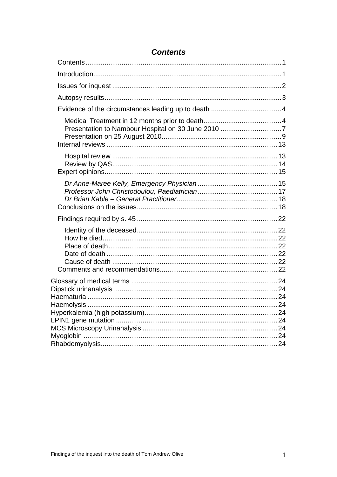<span id="page-1-0"></span>

## **Contents**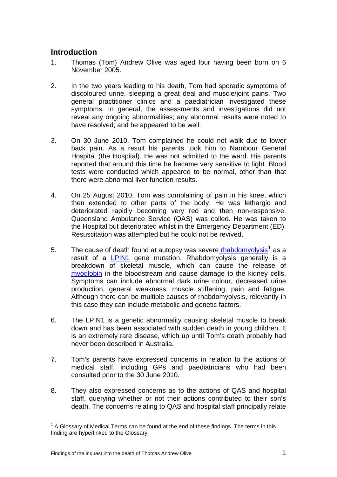## <span id="page-2-0"></span>**Introduction**

- 1. Thomas (Tom) Andrew Olive was aged four having been born on 6 November 2005.
- 2. In the two years leading to his death, Tom had sporadic symptoms of discoloured urine, sleeping a great deal and muscle/joint pains. Two general practitioner clinics and a paediatrician investigated these symptoms. In general, the assessments and investigations did not reveal any ongoing abnormalities; any abnormal results were noted to have resolved; and he appeared to be well.
- 3. On 30 June 2010, Tom complained he could not walk due to lower back pain. As a result his parents took him to Nambour General Hospital (the Hospital). He was not admitted to the ward. His parents reported that around this time he became very sensitive to light. Blood tests were conducted which appeared to be normal, other than that there were abnormal liver function results.
- 4. On 25 August 2010, Tom was complaining of pain in his knee, which then extended to other parts of the body. He was lethargic and deteriorated rapidly becoming very red and then non-responsive. Queensland Ambulance Service (QAS) was called. He was taken to the Hospital but deteriorated whilst in the Emergency Department (ED). Resuscitation was attempted but he could not be revived.
- 5. The cause of death found at autopsy was severe **rhabdomyolysis**<sup>[1](#page-2-1)</sup> as a result of a [LPIN1](#page-25-0) gene mutation. Rhabdomyolysis generally is a breakdown of skeletal muscle, which can cause the release of [myoglobin](#page-25-0) in the bloodstream and cause damage to the kidney cells. Symptoms can include abnormal dark urine colour, decreased urine production, general weakness, muscle stiffening, pain and fatigue. Although there can be multiple causes of rhabdomyolysis, relevantly in this case they can include metabolic and genetic factors.
- 6. The LPIN1 is a genetic abnormality causing skeletal muscle to break down and has been associated with sudden death in young children. It is an extremely rare disease, which up until Tom's death probably had never been described in Australia.
- 7. Tom's parents have expressed concerns in relation to the actions of medical staff, including GPs and paediatricians who had been consulted prior to the 30 June 2010.
- 8. They also expressed concerns as to the actions of QAS and hospital staff, querying whether or not their actions contributed to their son's death. The concerns relating to QAS and hospital staff principally relate

<span id="page-2-1"></span>l  $1$  A Glossary of Medical Terms can be found at the end of these findings. The terms in this finding are hyperlinked to the Glossary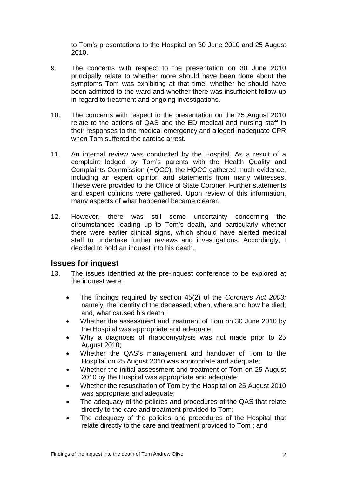to Tom's presentations to the Hospital on 30 June 2010 and 25 August 2010.

- 9. The concerns with respect to the presentation on 30 June 2010 principally relate to whether more should have been done about the symptoms Tom was exhibiting at that time, whether he should have been admitted to the ward and whether there was insufficient follow-up in regard to treatment and ongoing investigations.
- 10. The concerns with respect to the presentation on the 25 August 2010 relate to the actions of QAS and the ED medical and nursing staff in their responses to the medical emergency and alleged inadequate CPR when Tom suffered the cardiac arrest.
- 11. An internal review was conducted by the Hospital. As a result of a complaint lodged by Tom's parents with the Health Quality and Complaints Commission (HQCC), the HQCC gathered much evidence, including an expert opinion and statements from many witnesses. These were provided to the Office of State Coroner. Further statements and expert opinions were gathered. Upon review of this information, many aspects of what happened became clearer.
- 12. However, there was still some uncertainty concerning the circumstances leading up to Tom's death, and particularly whether there were earlier clinical signs, which should have alerted medical staff to undertake further reviews and investigations. Accordingly, I decided to hold an inquest into his death.

#### <span id="page-3-0"></span>**Issues for inquest**

- 13. The issues identified at the pre-inquest conference to be explored at the inquest were:
	- The findings required by section 45(2) of the *Coroners Act 2003:* namely; the identity of the deceased; when, where and how he died; and, what caused his death;
	- Whether the assessment and treatment of Tom on 30 June 2010 by the Hospital was appropriate and adequate;
	- Why a diagnosis of rhabdomyolysis was not made prior to 25 August 2010;
	- Whether the QAS's management and handover of Tom to the Hospital on 25 August 2010 was appropriate and adequate;
	- Whether the initial assessment and treatment of Tom on 25 August 2010 by the Hospital was appropriate and adequate;
	- Whether the resuscitation of Tom by the Hospital on 25 August 2010 was appropriate and adequate;
	- The adequacy of the policies and procedures of the QAS that relate directly to the care and treatment provided to Tom;
	- The adequacy of the policies and procedures of the Hospital that relate directly to the care and treatment provided to Tom ; and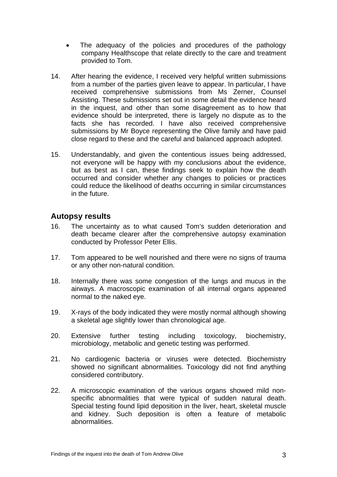- The adequacy of the policies and procedures of the pathology company Healthscope that relate directly to the care and treatment provided to Tom.
- 14. After hearing the evidence, I received very helpful written submissions from a number of the parties given leave to appear. In particular, I have received comprehensive submissions from Ms Zerner, Counsel Assisting. These submissions set out in some detail the evidence heard in the inquest, and other than some disagreement as to how that evidence should be interpreted, there is largely no dispute as to the facts she has recorded. I have also received comprehensive submissions by Mr Boyce representing the Olive family and have paid close regard to these and the careful and balanced approach adopted.
- 15. Understandably, and given the contentious issues being addressed, not everyone will be happy with my conclusions about the evidence, but as best as I can, these findings seek to explain how the death occurred and consider whether any changes to policies or practices could reduce the likelihood of deaths occurring in similar circumstances in the future.

### <span id="page-4-0"></span>**Autopsy results**

- 16. The uncertainty as to what caused Tom's sudden deterioration and death became clearer after the comprehensive autopsy examination conducted by Professor Peter Ellis.
- 17. Tom appeared to be well nourished and there were no signs of trauma or any other non-natural condition.
- 18. Internally there was some congestion of the lungs and mucus in the airways. A macroscopic examination of all internal organs appeared normal to the naked eye.
- 19. X-rays of the body indicated they were mostly normal although showing a skeletal age slightly lower than chronological age.
- 20. Extensive further testing including toxicology, biochemistry, microbiology, metabolic and genetic testing was performed.
- 21. No cardiogenic bacteria or viruses were detected. Biochemistry showed no significant abnormalities. Toxicology did not find anything considered contributory.
- 22. A microscopic examination of the various organs showed mild nonspecific abnormalities that were typical of sudden natural death. Special testing found lipid deposition in the liver, heart, skeletal muscle and kidney. Such deposition is often a feature of metabolic abnormalities.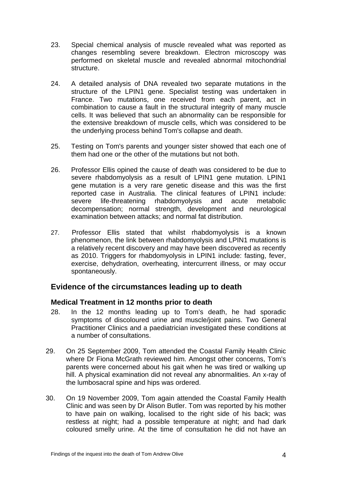- 23. Special chemical analysis of muscle revealed what was reported as changes resembling severe breakdown. Electron microscopy was performed on skeletal muscle and revealed abnormal mitochondrial structure.
- 24. A detailed analysis of DNA revealed two separate mutations in the structure of the LPIN1 gene. Specialist testing was undertaken in France. Two mutations, one received from each parent, act in combination to cause a fault in the structural integrity of many muscle cells. It was believed that such an abnormality can be responsible for the extensive breakdown of muscle cells, which was considered to be the underlying process behind Tom's collapse and death.
- 25. Testing on Tom's parents and younger sister showed that each one of them had one or the other of the mutations but not both.
- 26. Professor Ellis opined the cause of death was considered to be due to severe rhabdomyolysis as a result of LPIN1 gene mutation. LPIN1 gene mutation is a very rare genetic disease and this was the first reported case in Australia. The clinical features of LPIN1 include: severe life-threatening rhabdomyolysis and acute metabolic decompensation; normal strength, development and neurological examination between attacks; and normal fat distribution.
- 27. Professor Ellis stated that whilst rhabdomyolysis is a known phenomenon, the link between rhabdomyolysis and LPIN1 mutations is a relatively recent discovery and may have been discovered as recently as 2010. Triggers for rhabdomyolysis in LPIN1 include: fasting, fever, exercise, dehydration, overheating, intercurrent illness, or may occur spontaneously.

## <span id="page-5-0"></span>**Evidence of the circumstances leading up to death**

#### <span id="page-5-1"></span>**Medical Treatment in 12 months prior to death**

- 28. In the 12 months leading up to Tom's death, he had sporadic symptoms of discoloured urine and muscle/joint pains. Two General Practitioner Clinics and a paediatrician investigated these conditions at a number of consultations.
- 29. On 25 September 2009, Tom attended the Coastal Family Health Clinic where Dr Fiona McGrath reviewed him. Amongst other concerns, Tom's parents were concerned about his gait when he was tired or walking up hill. A physical examination did not reveal any abnormalities. An x-ray of the lumbosacral spine and hips was ordered.
- 30. On 19 November 2009, Tom again attended the Coastal Family Health Clinic and was seen by Dr Alison Butler. Tom was reported by his mother to have pain on walking, localised to the right side of his back; was restless at night; had a possible temperature at night; and had dark coloured smelly urine. At the time of consultation he did not have an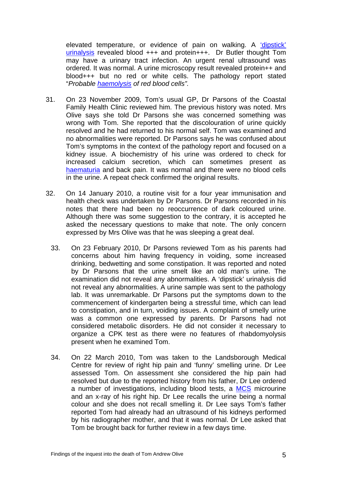elevated temperature, or evidence of pain on walking. A 'dipstick' urinalysis revealed blood +++ and protein+++. Dr Butler thought Tom may have a urinary tract infection. An urgent renal ultrasound was ordered. It was normal. A urine microscopy result revealed protein++ and blood+++ but no red or white cells. The pathology report stated "*Probable haemolysis of red blood cells".*

- 31. On 23 November 2009, Tom's usual GP, Dr Parsons of the Coastal Family Health Clinic reviewed him. The previous history was noted. Mrs Olive says she told Dr Parsons she was concerned something was wrong with Tom. She reported that the discolouration of urine quickly resolved and he had returned to his normal self. Tom was examined and no abnormalities were reported. Dr Parsons says he was confused about Tom's symptoms in the context of the pathology report and focused on a kidney issue. A biochemistry of his urine was ordered to check for increased calcium secretion, which can sometimes present as [haematuria](#page-25-0) and back pain. It was normal and there were no blood cells in the urine. A repeat check confirmed the original results.
- 32. On 14 January 2010, a routine visit for a four year immunisation and health check was undertaken by Dr Parsons. Dr Parsons recorded in his notes that there had been no reoccurrence of dark coloured urine. Although there was some suggestion to the contrary, it is accepted he asked the necessary questions to make that note. The only concern expressed by Mrs Olive was that he was sleeping a great deal.
	- 33. On 23 February 2010, Dr Parsons reviewed Tom as his parents had concerns about him having frequency in voiding, some increased drinking, bedwetting and some constipation. It was reported and noted by Dr Parsons that the urine smelt like an old man's urine. The examination did not reveal any abnormalities. A 'dipstick' urinalysis did not reveal any abnormalities. A urine sample was sent to the pathology lab. It was unremarkable. Dr Parsons put the symptoms down to the commencement of kindergarten being a stressful time, which can lead to constipation, and in turn, voiding issues. A complaint of smelly urine was a common one expressed by parents. Dr Parsons had not considered metabolic disorders. He did not consider it necessary to organize a CPK test as there were no features of rhabdomyolysis present when he examined Tom.
	- 34. On 22 March 2010, Tom was taken to the Landsborough Medical Centre for review of right hip pain and 'funny' smelling urine. Dr Lee assessed Tom. On assessment she considered the hip pain had resolved but due to the reported history from his father, Dr Lee ordered a number of investigations, including blood tests, a [MCS](#page-25-0) microurine and an x-ray of his right hip. Dr Lee recalls the urine being a normal colour and she does not recall smelling it. Dr Lee says Tom's father reported Tom had already had an ultrasound of his kidneys performed by his radiographer mother, and that it was normal. Dr Lee asked that Tom be brought back for further review in a few days time.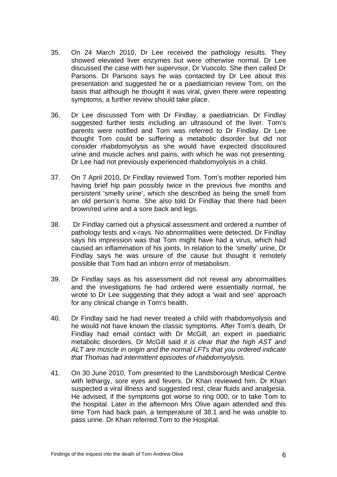- 35. On 24 March 2010, Dr Lee received the pathology results. They showed elevated liver enzymes but were otherwise normal. Dr Lee discussed the case with her supervisor, Dr Vuocolo. She then called Dr Parsons. Dr Parsons says he was contacted by Dr Lee about this presentation and suggested he or a paediatrician review Tom, on the basis that although he thought it was viral, given there were repeating symptoms, a further review should take place.
- 36. Dr Lee discussed Tom with Dr Findlay, a paediatrician. Dr Findlay suggested further tests including an ultrasound of the liver. Tom's parents were notified and Tom was referred to Dr Findlay. Dr Lee thought Tom could be suffering a metabolic disorder but did not consider rhabdomyolysis as she would have expected discoloured urine and muscle aches and pains, with which he was not presenting. Dr Lee had not previously experienced rhabdomyolysis in a child.
- 37. On 7 April 2010, Dr Findlay reviewed Tom. Tom's mother reported him having brief hip pain possibly twice in the previous five months and persistent 'smelly urine', which she described as being the smell from an old person's home. She also told Dr Findlay that there had been brown/red urine and a sore back and legs.
- 38. Dr Findlay carried out a physical assessment and ordered a number of pathology tests and x-rays. No abnormalities were detected. Dr Findlay says his impression was that Tom might have had a virus, which had caused an inflammation of his joints. In relation to the 'smelly' urine, Dr Findlay says he was unsure of the cause but thought it remotely possible that Tom had an inborn error of metabolism.
- 39. Dr Findlay says as his assessment did not reveal any abnormalities and the investigations he had ordered were essentially normal, he wrote to Dr Lee suggesting that they adopt a 'wait and see' approach for any clinical change in Tom's health.
- 40. Dr Findlay said he had never treated a child with rhabdomyolysis and he would not have known the classic symptoms. After Tom's death, Dr Findlay had email contact with Dr McGill, an expert in paediatric metabolic disorders. Dr McGill said *it is clear that the high AST and ALT are muscle in origin and the normal LFTs that you ordered indicate that Thomas had intermittent episodes of rhabdomyolysis.*
- 41. On 30 June 2010, Tom presented to the Landsborough Medical Centre with lethargy, sore eyes and fevers. Dr Khan reviewed him. Dr Khan suspected a viral illness and suggested rest, clear fluids and analgesia. He advised, if the symptoms got worse to ring 000, or to take Tom to the hospital. Later in the afternoon Mrs Olive again attended and this time Tom had back pain, a temperature of 38.1 and he was unable to pass urine. Dr Khan referred Tom to the Hospital.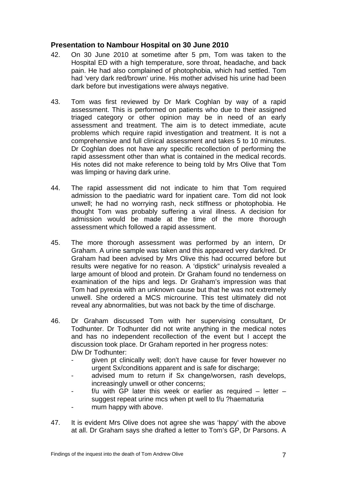#### <span id="page-8-0"></span>**Presentation to Nambour Hospital on 30 June 2010**

- 42. On 30 June 2010 at sometime after 5 pm, Tom was taken to the Hospital ED with a high temperature, sore throat, headache, and back pain. He had also complained of photophobia, which had settled. Tom had 'very dark red/brown' urine. His mother advised his urine had been dark before but investigations were always negative.
- 43. Tom was first reviewed by Dr Mark Coghlan by way of a rapid assessment. This is performed on patients who due to their assigned triaged category or other opinion may be in need of an early assessment and treatment. The aim is to detect immediate, acute problems which require rapid investigation and treatment. It is not a comprehensive and full clinical assessment and takes 5 to 10 minutes. Dr Coghlan does not have any specific recollection of performing the rapid assessment other than what is contained in the medical records. His notes did not make reference to being told by Mrs Olive that Tom was limping or having dark urine.
- 44. The rapid assessment did not indicate to him that Tom required admission to the paediatric ward for inpatient care. Tom did not look unwell; he had no worrying rash, neck stiffness or photophobia. He thought Tom was probably suffering a viral illness. A decision for admission would be made at the time of the more thorough assessment which followed a rapid assessment.
- 45. The more thorough assessment was performed by an intern, Dr Graham. A urine sample was taken and this appeared very dark/red. Dr Graham had been advised by Mrs Olive this had occurred before but results were negative for no reason. A 'dipstick" urinalysis revealed a large amount of blood and protein. Dr Graham found no tenderness on examination of the hips and legs. Dr Graham's impression was that Tom had pyrexia with an unknown cause but that he was not extremely unwell. She ordered a MCS microurine. This test ultimately did not reveal any abnormalities, but was not back by the time of discharge.
- 46. Dr Graham discussed Tom with her supervising consultant, Dr Todhunter. Dr Todhunter did not write anything in the medical notes and has no independent recollection of the event but I accept the discussion took place. Dr Graham reported in her progress notes: D/w Dr Todhunter:
	- given pt clinically well; don't have cause for fever however no urgent Sx/conditions apparent and is safe for discharge;
	- advised mum to return if Sx change/worsen, rash develops, increasingly unwell or other concerns;
	- f/u with GP later this week or earlier as required  $-$  letter  $$ suggest repeat urine mcs when pt well to f/u ?haematuria
	- mum happy with above.
- 47. It is evident Mrs Olive does not agree she was 'happy' with the above at all. Dr Graham says she drafted a letter to Tom's GP, Dr Parsons. A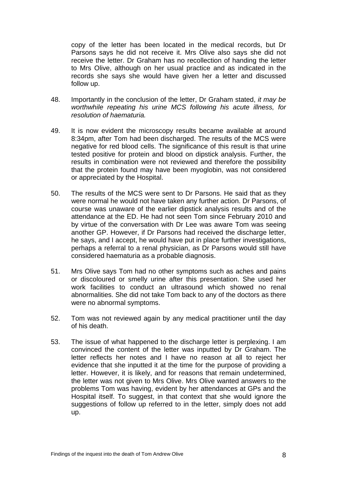copy of the letter has been located in the medical records, but Dr Parsons says he did not receive it. Mrs Olive also says she did not receive the letter. Dr Graham has no recollection of handing the letter to Mrs Olive, although on her usual practice and as indicated in the records she says she would have given her a letter and discussed follow up.

- 48. Importantly in the conclusion of the letter, Dr Graham stated, *it may be worthwhile repeating his urine MCS following his acute illness, for resolution of haematuria.*
- 49. It is now evident the microscopy results became available at around 8:34pm, after Tom had been discharged. The results of the MCS were negative for red blood cells. The significance of this result is that urine tested positive for protein and blood on dipstick analysis. Further, the results in combination were not reviewed and therefore the possibility that the protein found may have been myoglobin, was not considered or appreciated by the Hospital.
- 50. The results of the MCS were sent to Dr Parsons. He said that as they were normal he would not have taken any further action. Dr Parsons, of course was unaware of the earlier dipstick analysis results and of the attendance at the ED. He had not seen Tom since February 2010 and by virtue of the conversation with Dr Lee was aware Tom was seeing another GP. However, if Dr Parsons had received the discharge letter, he says, and I accept, he would have put in place further investigations, perhaps a referral to a renal physician, as Dr Parsons would still have considered haematuria as a probable diagnosis.
- 51. Mrs Olive says Tom had no other symptoms such as aches and pains or discoloured or smelly urine after this presentation. She used her work facilities to conduct an ultrasound which showed no renal abnormalities. She did not take Tom back to any of the doctors as there were no abnormal symptoms.
- 52. Tom was not reviewed again by any medical practitioner until the day of his death.
- 53. The issue of what happened to the discharge letter is perplexing. I am convinced the content of the letter was inputted by Dr Graham. The letter reflects her notes and I have no reason at all to reject her evidence that she inputted it at the time for the purpose of providing a letter. However, it is likely, and for reasons that remain undetermined, the letter was not given to Mrs Olive. Mrs Olive wanted answers to the problems Tom was having, evident by her attendances at GPs and the Hospital itself. To suggest, in that context that she would ignore the suggestions of follow up referred to in the letter, simply does not add up.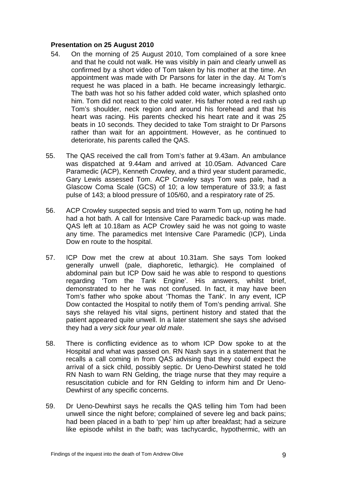#### <span id="page-10-0"></span>**Presentation on 25 August 2010**

- 54. On the morning of 25 August 2010, Tom complained of a sore knee and that he could not walk. He was visibly in pain and clearly unwell as confirmed by a short video of Tom taken by his mother at the time. An appointment was made with Dr Parsons for later in the day. At Tom's request he was placed in a bath. He became increasingly lethargic. The bath was hot so his father added cold water, which splashed onto him. Tom did not react to the cold water. His father noted a red rash up Tom's shoulder, neck region and around his forehead and that his heart was racing. His parents checked his heart rate and it was 25 beats in 10 seconds. They decided to take Tom straight to Dr Parsons rather than wait for an appointment. However, as he continued to deteriorate, his parents called the QAS.
- 55. The QAS received the call from Tom's father at 9.43am. An ambulance was dispatched at 9.44am and arrived at 10.05am. Advanced Care Paramedic (ACP), Kenneth Crowley, and a third year student paramedic, Gary Lewis assessed Tom. ACP Crowley says Tom was pale, had a Glascow Coma Scale (GCS) of 10; a low temperature of 33.9; a fast pulse of 143; a blood pressure of 105/60, and a respiratory rate of 25.
- 56. ACP Crowley suspected sepsis and tried to warm Tom up, noting he had had a hot bath. A call for Intensive Care Paramedic back-up was made. QAS left at 10.18am as ACP Crowley said he was not going to waste any time. The paramedics met Intensive Care Paramedic (ICP), Linda Dow en route to the hospital.
- 57. ICP Dow met the crew at about 10.31am. She says Tom looked generally unwell (pale, diaphoretic, lethargic). He complained of abdominal pain but ICP Dow said he was able to respond to questions regarding 'Tom the Tank Engine'. His answers, whilst brief, demonstrated to her he was not confused. In fact, it may have been Tom's father who spoke about 'Thomas the Tank'. In any event, ICP Dow contacted the Hospital to notify them of Tom's pending arrival. She says she relayed his vital signs, pertinent history and stated that the patient appeared quite unwell. In a later statement she says she advised they had a *very sick four year old male*.
- 58. There is conflicting evidence as to whom ICP Dow spoke to at the Hospital and what was passed on. RN Nash says in a statement that he recalls a call coming in from QAS advising that they could expect the arrival of a sick child, possibly septic. Dr Ueno-Dewhirst stated he told RN Nash to warn RN Gelding, the triage nurse that they may require a resuscitation cubicle and for RN Gelding to inform him and Dr Ueno-Dewhirst of any specific concerns.
- 59. Dr Ueno-Dewhirst says he recalls the QAS telling him Tom had been unwell since the night before; complained of severe leg and back pains; had been placed in a bath to 'pep' him up after breakfast; had a seizure like episode whilst in the bath; was tachycardic, hypothermic, with an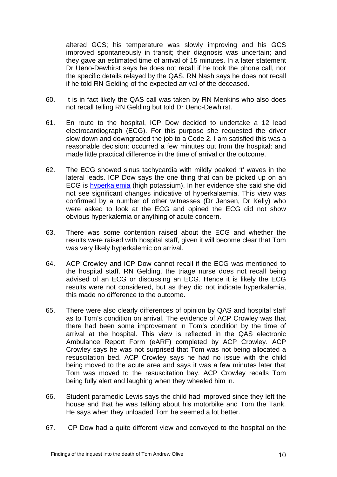altered GCS; his temperature was slowly improving and his GCS improved spontaneously in transit; their diagnosis was uncertain; and they gave an estimated time of arrival of 15 minutes. In a later statement Dr Ueno-Dewhirst says he does not recall if he took the phone call, nor the specific details relayed by the QAS. RN Nash says he does not recall if he told RN Gelding of the expected arrival of the deceased.

- 60. It is in fact likely the QAS call was taken by RN Menkins who also does not recall telling RN Gelding but told Dr Ueno-Dewhirst.
- 61. En route to the hospital, ICP Dow decided to undertake a 12 lead electrocardiograph (ECG). For this purpose she requested the driver slow down and downgraded the job to a Code 2. I am satisfied this was a reasonable decision; occurred a few minutes out from the hospital; and made little practical difference in the time of arrival or the outcome.
- 62. The ECG showed sinus tachycardia with mildly peaked 't' waves in the lateral leads. ICP Dow says the one thing that can be picked up on an ECG is [hyperkalemia](#page-25-0) (high potassium). In her evidence she said she did not see significant changes indicative of hyperkalaemia. This view was confirmed by a number of other witnesses (Dr Jensen, Dr Kelly) who were asked to look at the ECG and opined the ECG did not show obvious hyperkalemia or anything of acute concern.
- 63. There was some contention raised about the ECG and whether the results were raised with hospital staff, given it will become clear that Tom was very likely hyperkalemic on arrival.
- 64. ACP Crowley and ICP Dow cannot recall if the ECG was mentioned to the hospital staff. RN Gelding, the triage nurse does not recall being advised of an ECG or discussing an ECG. Hence it is likely the ECG results were not considered, but as they did not indicate hyperkalemia, this made no difference to the outcome.
- 65. There were also clearly differences of opinion by QAS and hospital staff as to Tom's condition on arrival. The evidence of ACP Crowley was that there had been some improvement in Tom's condition by the time of arrival at the hospital. This view is reflected in the QAS electronic Ambulance Report Form (eARF) completed by ACP Crowley. ACP Crowley says he was not surprised that Tom was not being allocated a resuscitation bed. ACP Crowley says he had no issue with the child being moved to the acute area and says it was a few minutes later that Tom was moved to the resuscitation bay. ACP Crowley recalls Tom being fully alert and laughing when they wheeled him in.
- 66. Student paramedic Lewis says the child had improved since they left the house and that he was talking about his motorbike and Tom the Tank. He says when they unloaded Tom he seemed a lot better.
- 67. ICP Dow had a quite different view and conveyed to the hospital on the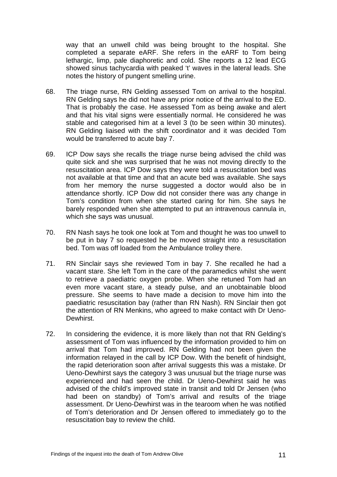way that an unwell child was being brought to the hospital. She completed a separate eARF. She refers in the eARF to Tom being lethargic, limp, pale diaphoretic and cold. She reports a 12 lead ECG showed sinus tachycardia with peaked 't' waves in the lateral leads. She notes the history of pungent smelling urine.

- 68. The triage nurse, RN Gelding assessed Tom on arrival to the hospital. RN Gelding says he did not have any prior notice of the arrival to the ED. That is probably the case. He assessed Tom as being awake and alert and that his vital signs were essentially normal. He considered he was stable and categorised him at a level 3 (to be seen within 30 minutes). RN Gelding liaised with the shift coordinator and it was decided Tom would be transferred to acute bay 7.
- 69. ICP Dow says she recalls the triage nurse being advised the child was quite sick and she was surprised that he was not moving directly to the resuscitation area. ICP Dow says they were told a resuscitation bed was not available at that time and that an acute bed was available. She says from her memory the nurse suggested a doctor would also be in attendance shortly. ICP Dow did not consider there was any change in Tom's condition from when she started caring for him. She says he barely responded when she attempted to put an intravenous cannula in, which she says was unusual.
- 70. RN Nash says he took one look at Tom and thought he was too unwell to be put in bay 7 so requested he be moved straight into a resuscitation bed. Tom was off loaded from the Ambulance trolley there.
- 71. RN Sinclair says she reviewed Tom in bay 7. She recalled he had a vacant stare. She left Tom in the care of the paramedics whilst she went to retrieve a paediatric oxygen probe. When she retuned Tom had an even more vacant stare, a steady pulse, and an unobtainable blood pressure. She seems to have made a decision to move him into the paediatric resuscitation bay (rather than RN Nash). RN Sinclair then got the attention of RN Menkins, who agreed to make contact with Dr Ueno-Dewhirst.
- 72. In considering the evidence, it is more likely than not that RN Gelding's assessment of Tom was influenced by the information provided to him on arrival that Tom had improved. RN Gelding had not been given the information relayed in the call by ICP Dow. With the benefit of hindsight, the rapid deterioration soon after arrival suggests this was a mistake. Dr Ueno-Dewhirst says the category 3 was unusual but the triage nurse was experienced and had seen the child. Dr Ueno-Dewhirst said he was advised of the child's improved state in transit and told Dr Jensen (who had been on standby) of Tom's arrival and results of the triage assessment. Dr Ueno-Dewhirst was in the tearoom when he was notified of Tom's deterioration and Dr Jensen offered to immediately go to the resuscitation bay to review the child.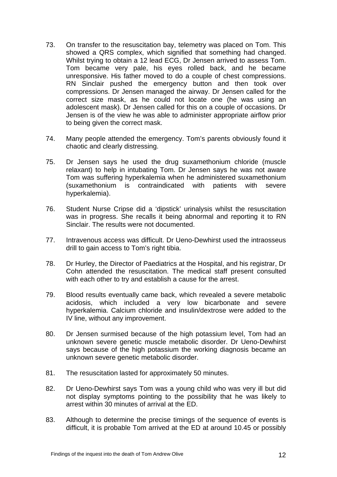- 73. On transfer to the resuscitation bay, telemetry was placed on Tom. This showed a QRS complex, which signified that something had changed. Whilst trying to obtain a 12 lead ECG, Dr Jensen arrived to assess Tom. Tom became very pale, his eyes rolled back, and he became unresponsive. His father moved to do a couple of chest compressions. RN Sinclair pushed the emergency button and then took over compressions. Dr Jensen managed the airway. Dr Jensen called for the correct size mask, as he could not locate one (he was using an adolescent mask). Dr Jensen called for this on a couple of occasions. Dr Jensen is of the view he was able to administer appropriate airflow prior to being given the correct mask.
- 74. Many people attended the emergency. Tom's parents obviously found it chaotic and clearly distressing.
- 75. Dr Jensen says he used the drug suxamethonium chloride (muscle relaxant) to help in intubating Tom. Dr Jensen says he was not aware Tom was suffering hyperkalemia when he administered suxamethonium (suxamethonium is contraindicated with patients with severe hyperkalemia).
- 76. Student Nurse Cripse did a 'dipstick' urinalysis whilst the resuscitation was in progress. She recalls it being abnormal and reporting it to RN Sinclair. The results were not documented.
- 77. Intravenous access was difficult. Dr Ueno-Dewhirst used the intraosseus drill to gain access to Tom's right tibia.
- 78. Dr Hurley, the Director of Paediatrics at the Hospital, and his registrar, Dr Cohn attended the resuscitation. The medical staff present consulted with each other to try and establish a cause for the arrest.
- 79. Blood results eventually came back, which revealed a severe metabolic acidosis, which included a very low bicarbonate and severe hyperkalemia. Calcium chloride and insulin/dextrose were added to the IV line, without any improvement.
- 80. Dr Jensen surmised because of the high potassium level, Tom had an unknown severe genetic muscle metabolic disorder. Dr Ueno-Dewhirst says because of the high potassium the working diagnosis became an unknown severe genetic metabolic disorder.
- 81. The resuscitation lasted for approximately 50 minutes.
- 82. Dr Ueno-Dewhirst says Tom was a young child who was very ill but did not display symptoms pointing to the possibility that he was likely to arrest within 30 minutes of arrival at the ED.
- 83. Although to determine the precise timings of the sequence of events is difficult, it is probable Tom arrived at the ED at around 10.45 or possibly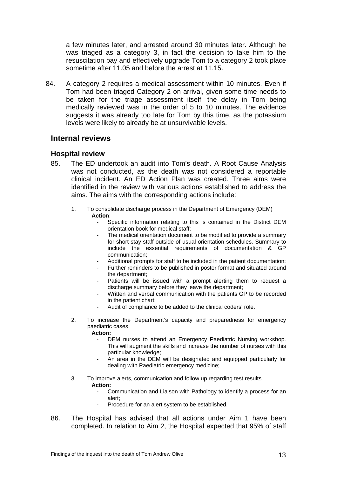a few minutes later, and arrested around 30 minutes later. Although he was triaged as a category 3, in fact the decision to take him to the resuscitation bay and effectively upgrade Tom to a category 2 took place sometime after 11.05 and before the arrest at 11.15.

84. A category 2 requires a medical assessment within 10 minutes. Even if Tom had been triaged Category 2 on arrival, given some time needs to be taken for the triage assessment itself, the delay in Tom being medically reviewed was in the order of 5 to 10 minutes. The evidence suggests it was already too late for Tom by this time, as the potassium levels were likely to already be at unsurvivable levels.

#### <span id="page-14-0"></span>**Internal reviews**

#### <span id="page-14-1"></span>**Hospital review**

- 85. The ED undertook an audit into Tom's death. A Root Cause Analysis was not conducted, as the death was not considered a reportable clinical incident. An ED Action Plan was created. Three aims were identified in the review with various actions established to address the aims. The aims with the corresponding actions include:
	- 1. To consolidate discharge process in the Department of Emergency (DEM) **Action**:
		- Specific information relating to this is contained in the District DEM orientation book for medical staff;
		- The medical orientation document to be modified to provide a summary for short stay staff outside of usual orientation schedules. Summary to include the essential requirements of documentation & GP communication;
		- Additional prompts for staff to be included in the patient documentation;
		- Further reminders to be published in poster format and situated around the department;
		- Patients will be issued with a prompt alerting them to request a discharge summary before they leave the department;
		- Written and verbal communication with the patients GP to be recorded in the patient chart;
		- Audit of compliance to be added to the clinical coders' role.
	- 2. To increase the Department's capacity and preparedness for emergency paediatric cases.
		- **Action:**  DEM nurses to attend an Emergency Paediatric Nursing workshop. This will augment the skills and increase the number of nurses with this
			- particular knowledge; An area in the DEM will be designated and equipped particularly for
			- dealing with Paediatric emergency medicine;
	- 3. To improve alerts, communication and follow up regarding test results.
		- **Action:** 
			- Communication and Liaison with Pathology to identify a process for an alert;
			- Procedure for an alert system to be established.
- 86. The Hospital has advised that all actions under Aim 1 have been completed. In relation to Aim 2, the Hospital expected that 95% of staff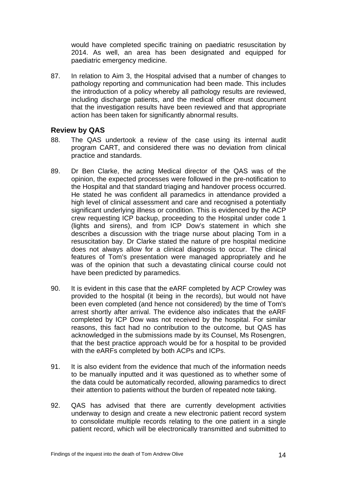would have completed specific training on paediatric resuscitation by 2014. As well, an area has been designated and equipped for paediatric emergency medicine.

87. In relation to Aim 3, the Hospital advised that a number of changes to pathology reporting and communication had been made. This includes the introduction of a policy whereby all pathology results are reviewed, including discharge patients, and the medical officer must document that the investigation results have been reviewed and that appropriate action has been taken for significantly abnormal results.

#### <span id="page-15-0"></span>**Review by QAS**

- 88. The QAS undertook a review of the case using its internal audit program CART, and considered there was no deviation from clinical practice and standards.
- 89. Dr Ben Clarke, the acting Medical director of the QAS was of the opinion, the expected processes were followed in the pre-notification to the Hospital and that standard triaging and handover process occurred. He stated he was confident all paramedics in attendance provided a high level of clinical assessment and care and recognised a potentially significant underlying illness or condition. This is evidenced by the ACP crew requesting ICP backup, proceeding to the Hospital under code 1 (lights and sirens), and from ICP Dow's statement in which she describes a discussion with the triage nurse about placing Tom in a resuscitation bay. Dr Clarke stated the nature of pre hospital medicine does not always allow for a clinical diagnosis to occur. The clinical features of Tom's presentation were managed appropriately and he was of the opinion that such a devastating clinical course could not have been predicted by paramedics.
- 90. It is evident in this case that the eARF completed by ACP Crowley was provided to the hospital (it being in the records), but would not have been even completed (and hence not considered) by the time of Tom's arrest shortly after arrival. The evidence also indicates that the eARF completed by ICP Dow was not received by the hospital. For similar reasons, this fact had no contribution to the outcome, but QAS has acknowledged in the submissions made by its Counsel, Ms Rosengren, that the best practice approach would be for a hospital to be provided with the eARFs completed by both ACPs and ICPs.
- 91. It is also evident from the evidence that much of the information needs to be manually inputted and it was questioned as to whether some of the data could be automatically recorded, allowing paramedics to direct their attention to patients without the burden of repeated note taking.
- 92. QAS has advised that there are currently development activities underway to design and create a new electronic patient record system to consolidate multiple records relating to the one patient in a single patient record, which will be electronically transmitted and submitted to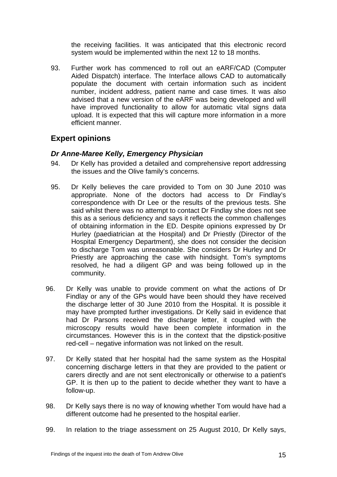the receiving facilities. It was anticipated that this electronic record system would be implemented within the next 12 to 18 months.

93. Further work has commenced to roll out an eARF/CAD (Computer Aided Dispatch) interface. The Interface allows CAD to automatically populate the document with certain information such as incident number, incident address, patient name and case times. It was also advised that a new version of the eARF was being developed and will have improved functionality to allow for automatic vital signs data upload. It is expected that this will capture more information in a more efficient manner.

## <span id="page-16-0"></span>**Expert opinions**

#### <span id="page-16-1"></span>*Dr Anne-Maree Kelly, Emergency Physician*

- 94. Dr Kelly has provided a detailed and comprehensive report addressing the issues and the Olive family's concerns.
- 95. Dr Kelly believes the care provided to Tom on 30 June 2010 was appropriate. None of the doctors had access to Dr Findlay's correspondence with Dr Lee or the results of the previous tests. She said whilst there was no attempt to contact Dr Findlay she does not see this as a serious deficiency and says it reflects the common challenges of obtaining information in the ED. Despite opinions expressed by Dr Hurley (paediatrician at the Hospital) and Dr Priestly (Director of the Hospital Emergency Department), she does not consider the decision to discharge Tom was unreasonable. She considers Dr Hurley and Dr Priestly are approaching the case with hindsight. Tom's symptoms resolved, he had a diligent GP and was being followed up in the community.
- 96. Dr Kelly was unable to provide comment on what the actions of Dr Findlay or any of the GPs would have been should they have received the discharge letter of 30 June 2010 from the Hospital. It is possible it may have prompted further investigations. Dr Kelly said in evidence that had Dr Parsons received the discharge letter, it coupled with the microscopy results would have been complete information in the circumstances. However this is in the context that the dipstick-positive red-cell – negative information was not linked on the result.
- 97. Dr Kelly stated that her hospital had the same system as the Hospital concerning discharge letters in that they are provided to the patient or carers directly and are not sent electronically or otherwise to a patient's GP. It is then up to the patient to decide whether they want to have a follow-up.
- 98. Dr Kelly says there is no way of knowing whether Tom would have had a different outcome had he presented to the hospital earlier.
- 99. In relation to the triage assessment on 25 August 2010, Dr Kelly says,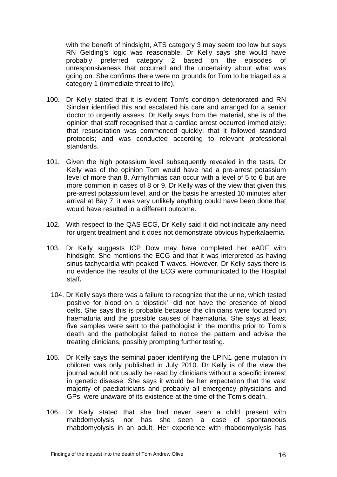with the benefit of hindsight, ATS category 3 may seem too low but says RN Gelding's logic was reasonable. Dr Kelly says she would have probably preferred category 2 based on the episodes of unresponsiveness that occurred and the uncertainty about what was going on. She confirms there were no grounds for Tom to be triaged as a category 1 (immediate threat to life).

- 100. Dr Kelly stated that it is evident Tom's condition deteriorated and RN Sinclair identified this and escalated his care and arranged for a senior doctor to urgently assess. Dr Kelly says from the material, she is of the opinion that staff recognised that a cardiac arrest occurred immediately; that resuscitation was commenced quickly; that it followed standard protocols; and was conducted according to relevant professional standards.
- 101. Given the high potassium level subsequently revealed in the tests, Dr Kelly was of the opinion Tom would have had a pre-arrest potassium level of more than 8. Arrhythmias can occur with a level of 5 to 6 but are more common in cases of 8 or 9. Dr Kelly was of the view that given this pre-arrest potassium level, and on the basis he arrested 10 minutes after arrival at Bay 7, it was very unlikely anything could have been done that would have resulted in a different outcome.
- 102. With respect to the QAS ECG, Dr Kelly said it did not indicate any need for urgent treatment and it does not demonstrate obvious hyperkalaemia.
- 103. Dr Kelly suggests ICP Dow may have completed her eARF with hindsight. She mentions the ECG and that it was interpreted as having sinus tachycardia with peaked T waves. However, Dr Kelly says there is no evidence the results of the ECG were communicated to the Hospital staff**.**
- 104. Dr Kelly says there was a failure to recognize that the urine, which tested positive for blood on a 'dipstick', did not have the presence of blood cells. She says this is probable because the clinicians were focused on haematuria and the possible causes of haematuria. She says at least five samples were sent to the pathologist in the months prior to Tom's death and the pathologist failed to notice the pattern and advise the treating clinicians, possibly prompting further testing.
- 105. Dr Kelly says the seminal paper identifying the LPIN1 gene mutation in children was only published in July 2010. Dr Kelly is of the view the journal would not usually be read by clinicians without a specific interest in genetic disease. She says it would be her expectation that the vast majority of paediatricians and probably all emergency physicians and GPs, were unaware of its existence at the time of the Tom's death.
- 106. Dr Kelly stated that she had never seen a child present with rhabdomyolysis, nor has she seen a case of spontaneous rhabdomyolysis in an adult. Her experience with rhabdomyolysis has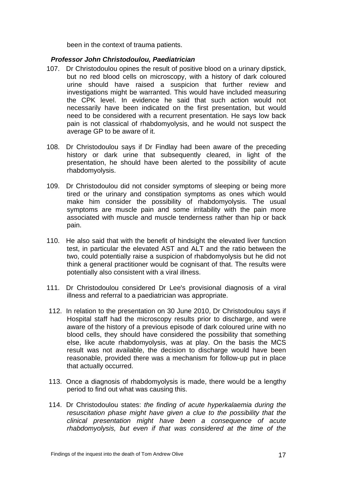been in the context of trauma patients.

#### *Professor John Christodoulou, Paediatrician*

- <span id="page-18-0"></span>107. Dr Christodoulou opines the result of positive blood on a urinary dipstick, but no red blood cells on microscopy, with a history of dark coloured urine should have raised a suspicion that further review and investigations might be warranted. This would have included measuring the CPK level. In evidence he said that such action would not necessarily have been indicated on the first presentation, but would need to be considered with a recurrent presentation. He says low back pain is not classical of rhabdomyolysis, and he would not suspect the average GP to be aware of it.
- 108. Dr Christodoulou says if Dr Findlay had been aware of the preceding history or dark urine that subsequently cleared, in light of the presentation, he should have been alerted to the possibility of acute rhabdomyolysis.
- 109. Dr Christodoulou did not consider symptoms of sleeping or being more tired or the urinary and constipation symptoms as ones which would make him consider the possibility of rhabdomyolysis. The usual symptoms are muscle pain and some irritability with the pain more associated with muscle and muscle tenderness rather than hip or back pain.
- 110. He also said that with the benefit of hindsight the elevated liver function test, in particular the elevated AST and ALT and the ratio between the two, could potentially raise a suspicion of rhabdomyolysis but he did not think a general practitioner would be cognisant of that. The results were potentially also consistent with a viral illness.
- 111. Dr Christodoulou considered Dr Lee's provisional diagnosis of a viral illness and referral to a paediatrician was appropriate.
- 112. In relation to the presentation on 30 June 2010, Dr Christodoulou says if Hospital staff had the microscopy results prior to discharge, and were aware of the history of a previous episode of dark coloured urine with no blood cells, they should have considered the possibility that something else, like acute rhabdomyolysis, was at play. On the basis the MCS result was not available, the decision to discharge would have been reasonable, provided there was a mechanism for follow-up put in place that actually occurred.
- 113. Once a diagnosis of rhabdomyolysis is made, there would be a lengthy period to find out what was causing this.
- 114. Dr Christodoulou states: *the finding of acute hyperkalaemia during the resuscitation phase might have given a clue to the possibility that the clinical presentation might have been a consequence of acute rhabdomyolysis, but even if that was considered at the time of the*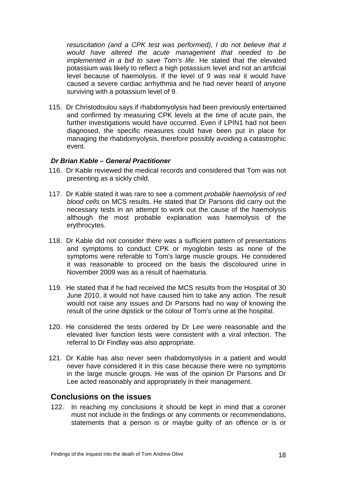resuscitation (and a CPK test was performed), I do not believe that it *would have altered the acute management that needed to be implemented in a bid to save Tom's life*. He stated that the elevated potassium was likely to reflect a high potassium level and not an artificial level because of haemolysis. If the level of 9 was real it would have caused a severe cardiac arrhythmia and he had never heard of anyone surviving with a potassium level of 9.

115. Dr Christodoulou says if rhabdomyolysis had been previously entertained and confirmed by measuring CPK levels at the time of acute pain, the further investigations would have occurred. Even if LPIN1 had not been diagnosed, the specific measures could have been put in place for managing the rhabdomyolysis, therefore possibly avoiding a catastrophic event.

#### <span id="page-19-0"></span>*Dr Brian Kable – General Practitioner*

- 116. Dr Kable reviewed the medical records and considered that Tom was not presenting as a sickly child.
- 117. Dr Kable stated it was rare to see a comment *probable haemolysis of red blood cells* on MCS results. He stated that Dr Parsons did carry out the necessary tests in an attempt to work out the cause of the haemolysis although the most probable explanation was haemolysis of the erythrocytes.
- 118. Dr Kable did not consider there was a sufficient pattern of presentations and symptoms to conduct CPK or myoglobin tests as none of the symptoms were referable to Tom's large muscle groups. He considered it was reasonable to proceed on the basis the discoloured urine in November 2009 was as a result of haematuria.
- 119. He stated that if he had received the MCS results from the Hospital of 30 June 2010, it would not have caused him to take any action. The result would not raise any issues and Dr Parsons had no way of knowing the result of the urine dipstick or the colour of Tom's urine at the hospital.
- 120. He considered the tests ordered by Dr Lee were reasonable and the elevated liver function tests were consistent with a viral infection. The referral to Dr Findlay was also appropriate.
- 121. Dr Kable has also never seen rhabdomyolysis in a patient and would never have considered it in this case because there were no symptoms in the large muscle groups. He was of the opinion Dr Parsons and Dr Lee acted reasonably and appropriately in their management.

#### <span id="page-19-1"></span>**Conclusions on the issues**

122. In reaching my conclusions it should be kept in mind that a coroner must not include in the findings or any comments or recommendations, statements that a person is or maybe guilty of an offence or is or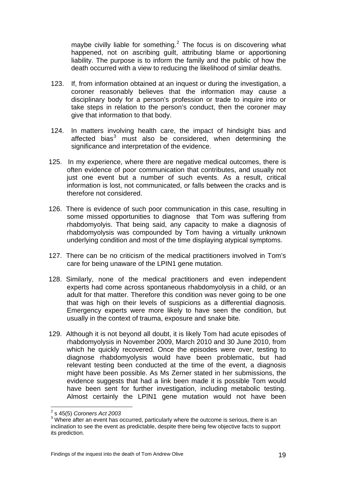maybe civilly liable for something. $<sup>2</sup>$  The focus is on discovering what</sup> happened, not on ascribing guilt, attributing blame or apportioning liability. The purpose is to inform the family and the public of how the death occurred with a view to reducing the likelihood of similar deaths.

- 123. If, from information obtained at an inquest or during the investigation, a coroner reasonably believes that the information may cause a disciplinary body for a person's profession or trade to inquire into or take steps in relation to the person's conduct, then the coroner may give that information to that body.
- 124. In matters involving health care, the impact of hindsight bias and affected bias<sup>[3](#page-20-0)</sup> must also be considered, when determining the significance and interpretation of the evidence.
- 125. In my experience, where there are negative medical outcomes, there is often evidence of poor communication that contributes, and usually not just one event but a number of such events. As a result, critical information is lost, not communicated, or falls between the cracks and is therefore not considered.
- 126. There is evidence of such poor communication in this case, resulting in some missed opportunities to diagnose that Tom was suffering from rhabdomyolyis. That being said, any capacity to make a diagnosis of rhabdomyolysis was compounded by Tom having a virtually unknown underlying condition and most of the time displaying atypical symptoms.
- 127. There can be no criticism of the medical practitioners involved in Tom's care for being unaware of the LPIN1 gene mutation.
- 128. Similarly, none of the medical practitioners and even independent experts had come across spontaneous rhabdomyolysis in a child, or an adult for that matter. Therefore this condition was never going to be one that was high on their levels of suspicions as a differential diagnosis. Emergency experts were more likely to have seen the condition, but usually in the context of trauma, exposure and snake bite.
- 129. Although it is not beyond all doubt, it is likely Tom had acute episodes of rhabdomyolysis in November 2009, March 2010 and 30 June 2010, from which he quickly recovered. Once the episodes were over, testing to diagnose rhabdomyolysis would have been problematic, but had relevant testing been conducted at the time of the event, a diagnosis might have been possible. As Ms Zerner stated in her submissions, the evidence suggests that had a link been made it is possible Tom would have been sent for further investigation, including metabolic testing. Almost certainly the LPIN1 gene mutation would not have been

 2 s 45(5) *Coroners Act 2003* 

<span id="page-20-0"></span> $3$  Where after an event has occurred, particularly where the outcome is serious, there is an inclination to see the event as predictable, despite there being few objective facts to support its prediction.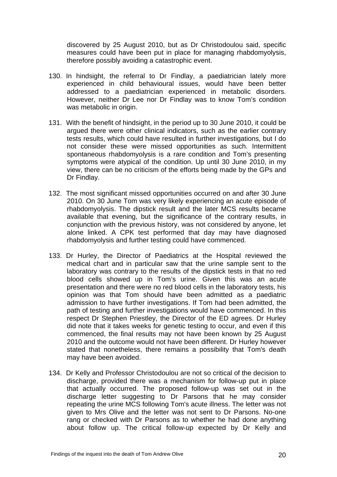discovered by 25 August 2010, but as Dr Christodoulou said, specific measures could have been put in place for managing rhabdomyolysis, therefore possibly avoiding a catastrophic event.

- 130. In hindsight, the referral to Dr Findlay, a paediatrician lately more experienced in child behavioural issues, would have been better addressed to a paediatrician experienced in metabolic disorders. However, neither Dr Lee nor Dr Findlay was to know Tom's condition was metabolic in origin.
- 131. With the benefit of hindsight, in the period up to 30 June 2010, it could be argued there were other clinical indicators, such as the earlier contrary tests results, which could have resulted in further investigations, but I do not consider these were missed opportunities as such. Intermittent spontaneous rhabdomyolysis is a rare condition and Tom's presenting symptoms were atypical of the condition. Up until 30 June 2010, in my view, there can be no criticism of the efforts being made by the GPs and Dr Findlay.
- 132. The most significant missed opportunities occurred on and after 30 June 2010. On 30 June Tom was very likely experiencing an acute episode of rhabdomyolysis. The dipstick result and the later MCS results became available that evening, but the significance of the contrary results, in conjunction with the previous history, was not considered by anyone, let alone linked. A CPK test performed that day may have diagnosed rhabdomyolysis and further testing could have commenced.
- 133. Dr Hurley, the Director of Paediatrics at the Hospital reviewed the medical chart and in particular saw that the urine sample sent to the laboratory was contrary to the results of the dipstick tests in that no red blood cells showed up in Tom's urine. Given this was an acute presentation and there were no red blood cells in the laboratory tests, his opinion was that Tom should have been admitted as a paediatric admission to have further investigations. If Tom had been admitted, the path of testing and further investigations would have commenced. In this respect Dr Stephen Priestley, the Director of the ED agrees. Dr Hurley did note that it takes weeks for genetic testing to occur, and even if this commenced, the final results may not have been known by 25 August 2010 and the outcome would not have been different. Dr Hurley however stated that nonetheless, there remains a possibility that Tom's death may have been avoided.
- 134. Dr Kelly and Professor Christodoulou are not so critical of the decision to discharge, provided there was a mechanism for follow-up put in place that actually occurred. The proposed follow-up was set out in the discharge letter suggesting to Dr Parsons that he may consider repeating the urine MCS following Tom's acute illness. The letter was not given to Mrs Olive and the letter was not sent to Dr Parsons. No-one rang or checked with Dr Parsons as to whether he had done anything about follow up. The critical follow-up expected by Dr Kelly and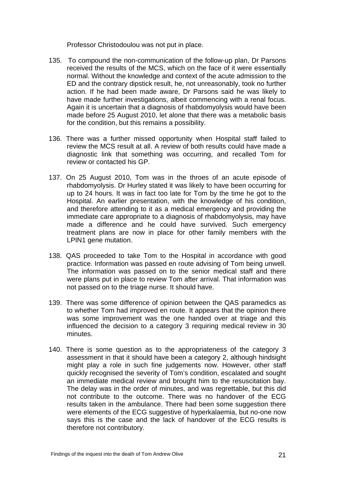Professor Christodoulou was not put in place.

- 135. To compound the non-communication of the follow-up plan, Dr Parsons received the results of the MCS, which on the face of it were essentially normal. Without the knowledge and context of the acute admission to the ED and the contrary dipstick result, he, not unreasonably, took no further action. If he had been made aware, Dr Parsons said he was likely to have made further investigations, albeit commencing with a renal focus. Again it is uncertain that a diagnosis of rhabdomyolysis would have been made before 25 August 2010, let alone that there was a metabolic basis for the condition, but this remains a possibility.
- 136. There was a further missed opportunity when Hospital staff failed to review the MCS result at all. A review of both results could have made a diagnostic link that something was occurring, and recalled Tom for review or contacted his GP.
- 137. On 25 August 2010, Tom was in the throes of an acute episode of rhabdomyolysis. Dr Hurley stated it was likely to have been occurring for up to 24 hours. It was in fact too late for Tom by the time he got to the Hospital. An earlier presentation, with the knowledge of his condition, and therefore attending to it as a medical emergency and providing the immediate care appropriate to a diagnosis of rhabdomyolysis, may have made a difference and he could have survived. Such emergency treatment plans are now in place for other family members with the LPIN1 gene mutation.
- 138. QAS proceeded to take Tom to the Hospital in accordance with good practice. Information was passed en route advising of Tom being unwell. The information was passed on to the senior medical staff and there were plans put in place to review Tom after arrival. That information was not passed on to the triage nurse. It should have.
- 139. There was some difference of opinion between the QAS paramedics as to whether Tom had improved en route. It appears that the opinion there was some improvement was the one handed over at triage and this influenced the decision to a category 3 requiring medical review in 30 minutes.
- 140. There is some question as to the appropriateness of the category 3 assessment in that it should have been a category 2, although hindsight might play a role in such fine judgements now. However, other staff quickly recognised the severity of Tom's condition, escalated and sought an immediate medical review and brought him to the resuscitation bay. The delay was in the order of minutes, and was regrettable, but this did not contribute to the outcome. There was no handover of the ECG results taken in the ambulance. There had been some suggestion there were elements of the ECG suggestive of hyperkalaemia, but no-one now says this is the case and the lack of handover of the ECG results is therefore not contributory.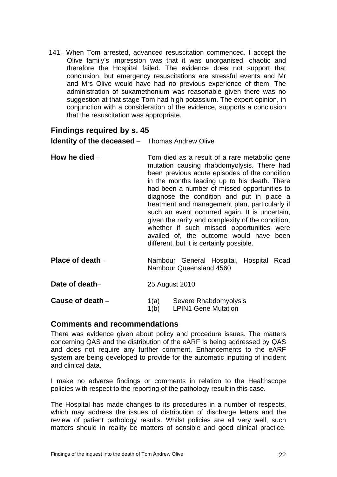141. When Tom arrested, advanced resuscitation commenced. I accept the Olive family's impression was that it was unorganised, chaotic and therefore the Hospital failed. The evidence does not support that conclusion, but emergency resuscitations are stressful events and Mr and Mrs Olive would have had no previous experience of them. The administration of suxamethonium was reasonable given there was no suggestion at that stage Tom had high potassium. The expert opinion, in conjunction with a consideration of the evidence, supports a conclusion that the resuscitation was appropriate.

## <span id="page-23-0"></span>**Findings required by s. 45**

<span id="page-23-1"></span>**Identity of the deceased** – Thomas Andrew Olive

<span id="page-23-2"></span>

| How he died $-$    | Tom died as a result of a rare metabolic gene<br>mutation causing rhabdomyolysis. There had<br>been previous acute episodes of the condition<br>in the months leading up to his death. There<br>had been a number of missed opportunities to<br>diagnose the condition and put in place a<br>treatment and management plan, particularly if |
|--------------------|---------------------------------------------------------------------------------------------------------------------------------------------------------------------------------------------------------------------------------------------------------------------------------------------------------------------------------------------|
|                    | such an event occurred again. It is uncertain,<br>given the rarity and complexity of the condition,<br>whether if such missed opportunities were<br>availed of, the outcome would have been<br>different, but it is certainly possible.                                                                                                     |
| Place of death $-$ | Nambour General Hospital, Hospital Road<br>Nambour Queensland 4560                                                                                                                                                                                                                                                                          |

<span id="page-23-4"></span><span id="page-23-3"></span>**Date of death–** 25 August 2010

<span id="page-23-5"></span>**Cause of death** – 1(a) Severe Rhabdomyolysis

1(b) LPIN1 Gene Mutation

#### <span id="page-23-6"></span>**Comments and recommendations**

There was evidence given about policy and procedure issues. The matters concerning QAS and the distribution of the eARF is being addressed by QAS and does not require any further comment. Enhancements to the eARF system are being developed to provide for the automatic inputting of incident and clinical data.

I make no adverse findings or comments in relation to the Healthscope policies with respect to the reporting of the pathology result in this case.

The Hospital has made changes to its procedures in a number of respects, which may address the issues of distribution of discharge letters and the review of patient pathology results. Whilst policies are all very well, such matters should in reality be matters of sensible and good clinical practice.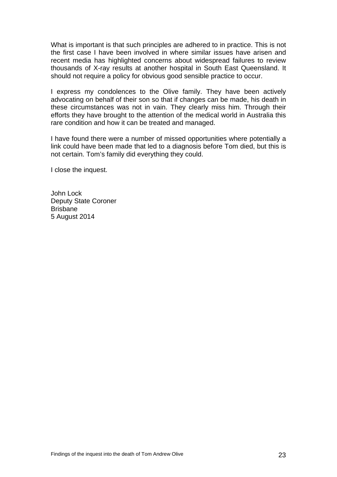What is important is that such principles are adhered to in practice. This is not the first case I have been involved in where similar issues have arisen and recent media has highlighted concerns about widespread failures to review thousands of X-ray results at another hospital in South East Queensland. It should not require a policy for obvious good sensible practice to occur.

I express my condolences to the Olive family. They have been actively advocating on behalf of their son so that if changes can be made, his death in these circumstances was not in vain. They clearly miss him. Through their efforts they have brought to the attention of the medical world in Australia this rare condition and how it can be treated and managed.

I have found there were a number of missed opportunities where potentially a link could have been made that led to a diagnosis before Tom died, but this is not certain. Tom's family did everything they could.

I close the inquest.

John Lock Deputy State Coroner Brisbane 5 August 2014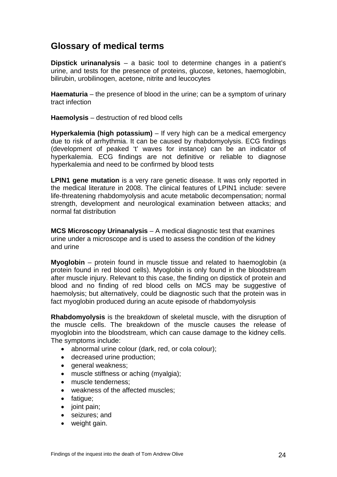## <span id="page-25-0"></span>**Glossary of medical terms**

<span id="page-25-1"></span>**Dipstick urinanalysis** – a basic tool to determine changes in a patient's urine, and tests for the presence of proteins, glucose, ketones, haemoglobin, bilirubin, urobilinogen, acetone, nitrite and leucocytes

<span id="page-25-2"></span>**Haematuria** – the presence of blood in the urine; can be a symptom of urinary tract infection

<span id="page-25-3"></span>**Haemolysis** – destruction of red blood cells

<span id="page-25-4"></span>**Hyperkalemia (high potassium)** – If very high can be a medical emergency due to risk of arrhythmia. It can be caused by rhabdomyolysis. ECG findings (development of peaked 't' waves for instance) can be an indicator of hyperkalemia. ECG findings are not definitive or reliable to diagnose hyperkalemia and need to be confirmed by blood tests

<span id="page-25-5"></span>**LPIN1 gene mutation** is a very rare genetic disease. It was only reported in the medical literature in 2008. The clinical features of LPIN1 include: severe life-threatening rhabdomyolysis and acute metabolic decompensation; normal strength, development and neurological examination between attacks; and normal fat distribution

<span id="page-25-6"></span>**MCS Microscopy Urinanalysis** – A medical diagnostic test that examines urine under a microscope and is used to assess the condition of the kidney and urine

<span id="page-25-7"></span>**Myoglobin** – protein found in muscle tissue and related to haemoglobin (a protein found in red blood cells). Myoglobin is only found in the bloodstream after muscle injury. Relevant to this case, the finding on dipstick of protein and blood and no finding of red blood cells on MCS may be suggestive of haemolysis; but alternatively, could be diagnostic such that the protein was in fact myoglobin produced during an acute episode of rhabdomyolysis

<span id="page-25-8"></span>**Rhabdomyolysis** is the breakdown of skeletal muscle, with the disruption of the muscle cells. The breakdown of the muscle causes the release of myoglobin into the bloodstream, which can cause damage to the kidney cells. The symptoms include:

- abnormal urine colour (dark, red, or cola colour);
- decreased urine production;
- general weakness;
- muscle stiffness or aching (myalgia);
- muscle tenderness:
- weakness of the affected muscles;
- fatigue;
- joint pain;
- seizures; and
- weight gain.